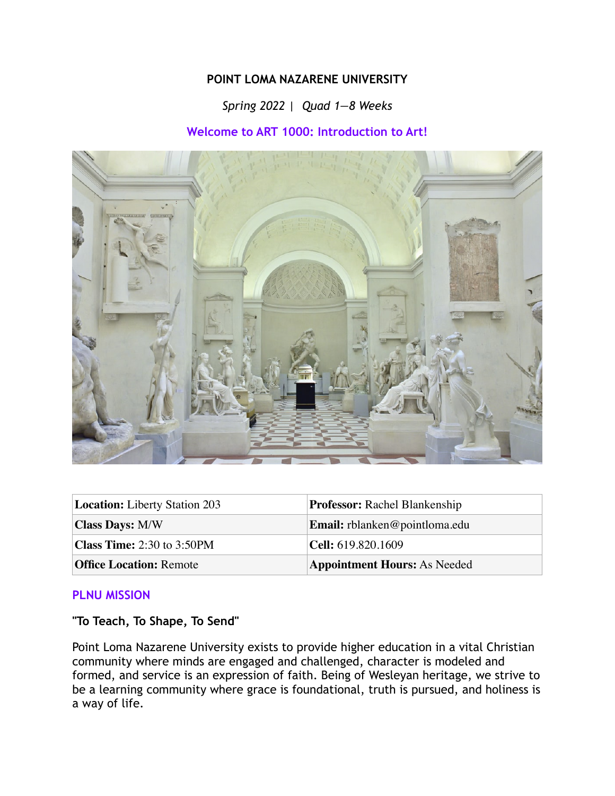#### **POINT LOMA NAZARENE UNIVERSITY**

# *Spring 2022 | Quad 1—8 Weeks*

## **Welcome to ART 1000: Introduction to Art!**



| <b>Location:</b> Liberty Station 203 | <b>Professor:</b> Rachel Blankenship |  |
|--------------------------------------|--------------------------------------|--|
| <b>Class Days: M/W</b>               | <b>Email:</b> rblanken@pointloma.edu |  |
| <b>Class Time:</b> 2:30 to 3:50PM    | <b>Cell:</b> 619.820.1609            |  |
| <b>Office Location: Remote</b>       | <b>Appointment Hours: As Needed</b>  |  |

#### **PLNU MISSION**

**"To Teach, To Shape, To Send"**

Point Loma Nazarene University exists to provide higher education in a vital Christian community where minds are engaged and challenged, character is modeled and formed, and service is an expression of faith. Being of Wesleyan heritage, we strive to be a learning community where grace is foundational, truth is pursued, and holiness is a way of life.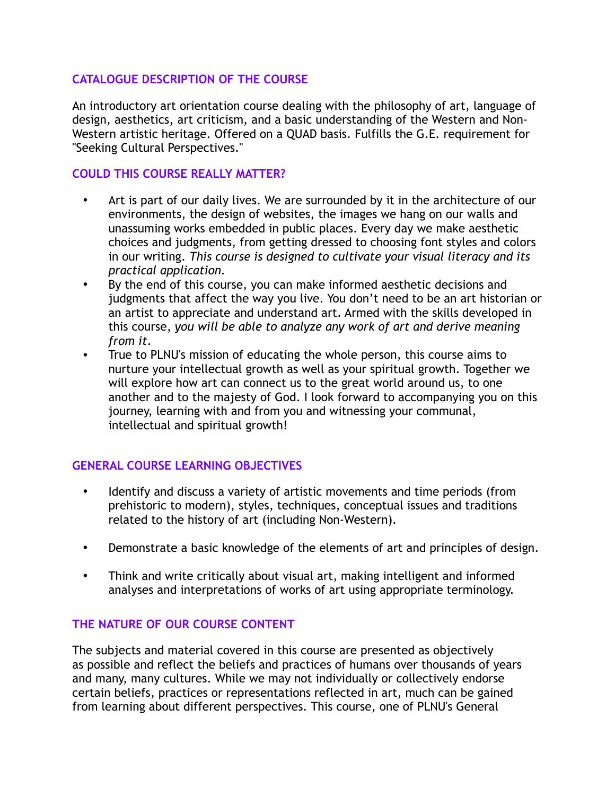## **CATALOGUE DESCRIPTION OF THE COURSE**

An introductory art orientation course dealing with the philosophy of art, language of design, aesthetics, art criticism, and a basic understanding of the Western and Non-Western artistic heritage. Offered on a QUAD basis. Fulfills the G.E. requirement for "Seeking Cultural Perspectives."

## **COULD THIS COURSE REALLY MATTER?**

- Art is part of our daily lives. We are surrounded by it in the architecture of our environments, the design of websites, the images we hang on our walls and unassuming works embedded in public places. Every day we make aesthetic choices and judgments, from getting dressed to choosing font styles and colors in our writing. *This course is designed to cultivate your visual literacy and its practical application.*
- By the end of this course, you can make informed aesthetic decisions and judgments that affect the way you live. You don't need to be an art historian or an artist to appreciate and understand art. Armed with the skills developed in this course, *you will be able to analyze any work of art and derive meaning from it*.
- True to PLNU's mission of educating the whole person, this course aims to nurture your intellectual growth as well as your spiritual growth. Together we will explore how art can connect us to the great world around us, to one another and to the majesty of God. I look forward to accompanying you on this journey, learning with and from you and witnessing your communal, intellectual and spiritual growth!

## **GENERAL COURSE LEARNING OBJECTIVES**

- Identify and discuss a variety of artistic movements and time periods (from prehistoric to modern), styles, techniques, conceptual issues and traditions related to the history of art (including Non-Western).
- Demonstrate a basic knowledge of the elements of art and principles of design.
- Think and write critically about visual art, making intelligent and informed analyses and interpretations of works of art using appropriate terminology.

## **THE NATURE OF OUR COURSE CONTENT**

The subjects and material covered in this course are presented as objectively as possible and reflect the beliefs and practices of humans over thousands of years and many, many cultures. While we may not individually or collectively endorse certain beliefs, practices or representations reflected in art, much can be gained from learning about different perspectives. This course, one of PLNU's General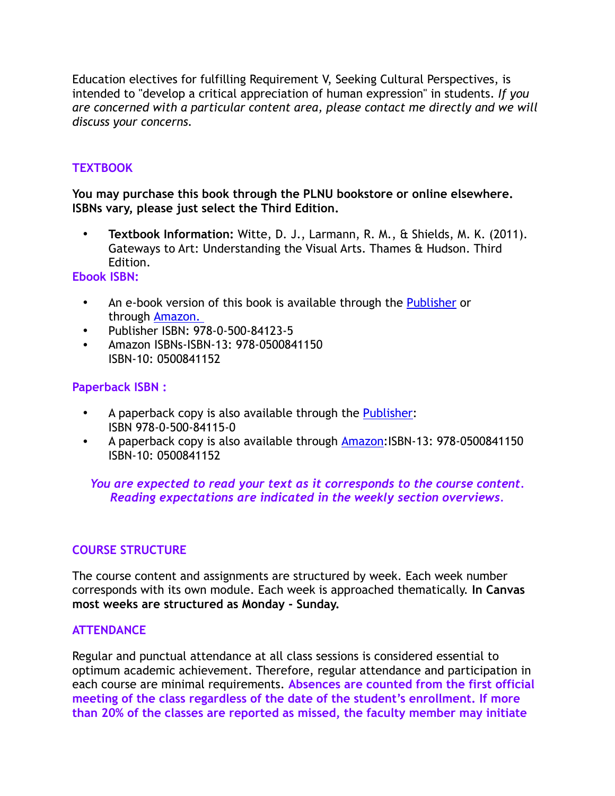Education electives for fulfilling Requirement V, Seeking Cultural Perspectives, is intended to "develop a critical appreciation of human expression" in students. *If you are concerned with a particular content area, please contact me directly and we will discuss your concerns.*

# **TEXTBOOK**

**You may purchase this book through the PLNU bookstore or online elsewhere. ISBNs vary, please just select the Third Edition.**

**• Textbook Information:** Witte, D. J., Larmann, R. M., & Shields, M. K. (2011). Gateways to Art: Understanding the Visual Arts. Thames & Hudson. Third Edition.

#### **Ebook ISBN:**

- An e-book version of this book is available through the [Publisher](https://wwnorton.com/books/9780500841150) or through [Amazon.](https://www.amazon.com/Gateways-Art-Debra-J-DeWitte-ebook-dp-B07JV8QCT3/dp/B07JV8QCT3/ref=mt_kindle?_encoding=UTF8&me=&qid=)
- Publisher ISBN: 978-0-500-84123-5
- Amazon ISBNs-ISBN-13: 978-0500841150 ISBN-10: 0500841152

## **Paperback ISBN :**

- A paperback copy is also available through the **[Publisher](https://wwnorton.com/books/9780500841150):** ISBN 978-0-500-84115-0
- A paperback copy is also available through **[Amazon](https://www.amazon.com/Gateways-Art-Third-Debra-DeWitte-dp-0500841152/dp/0500841152/ref=mt_other?_encoding=UTF8&me=&qid=):**ISBN-13: 978-0500841150 ISBN-10: 0500841152

## *You are expected to read your text as it corresponds to the course content. Reading expectations are indicated in the weekly section overviews.*

## **COURSE STRUCTURE**

The course content and assignments are structured by week. Each week number corresponds with its own module. Each week is approached thematically. **In Canvas most weeks are structured as Monday - Sunday.**

#### **ATTENDANCE**

Regular and punctual attendance at all class sessions is considered essential to optimum academic achievement. Therefore, regular attendance and participation in each course are minimal requirements. **Absences are counted from the first official meeting of the class regardless of the date of the student's enrollment. If more than 20% of the classes are reported as missed, the faculty member may initiate**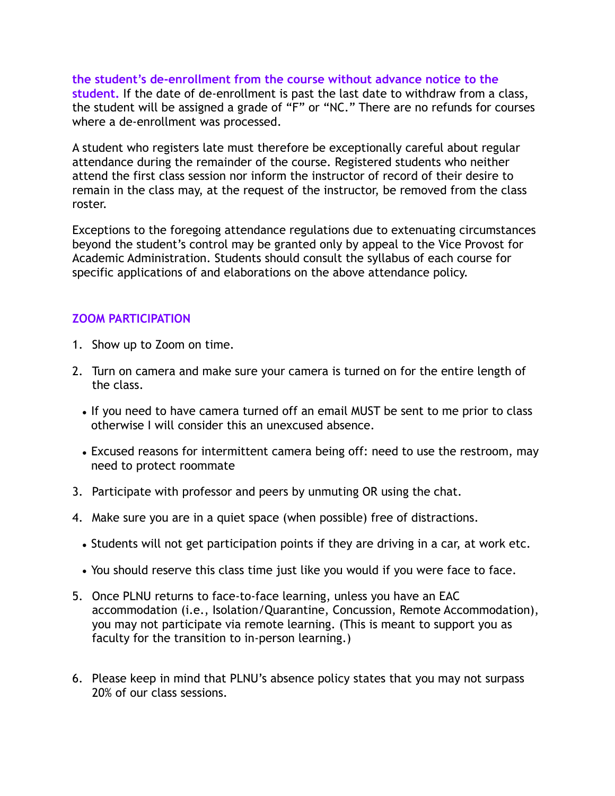**the student's de-enrollment from the course without advance notice to the student.** If the date of de-enrollment is past the last date to withdraw from a class, the student will be assigned a grade of "F" or "NC." There are no refunds for courses where a de-enrollment was processed.

A student who registers late must therefore be exceptionally careful about regular attendance during the remainder of the course. Registered students who neither attend the first class session nor inform the instructor of record of their desire to remain in the class may, at the request of the instructor, be removed from the class roster.

Exceptions to the foregoing attendance regulations due to extenuating circumstances beyond the student's control may be granted only by appeal to the Vice Provost for Academic Administration. Students should consult the syllabus of each course for specific applications of and elaborations on the above attendance policy.

#### **ZOOM PARTICIPATION**

- 1. Show up to Zoom on time.
- 2. Turn on camera and make sure your camera is turned on for the entire length of the class.
	- If you need to have camera turned off an email MUST be sent to me prior to class otherwise I will consider this an unexcused absence.
	- Excused reasons for intermittent camera being off: need to use the restroom, may need to protect roommate
- 3. Participate with professor and peers by unmuting OR using the chat.
- 4. Make sure you are in a quiet space (when possible) free of distractions.
	- Students will not get participation points if they are driving in a car, at work etc.
	- You should reserve this class time just like you would if you were face to face.
- 5. Once PLNU returns to face-to-face learning, unless you have an EAC accommodation (i.e., Isolation/Quarantine, Concussion, Remote Accommodation), you may not participate via remote learning. (This is meant to support you as faculty for the transition to in-person learning.)
- 6. Please keep in mind that PLNU's absence policy states that you may not surpass 20% of our class sessions.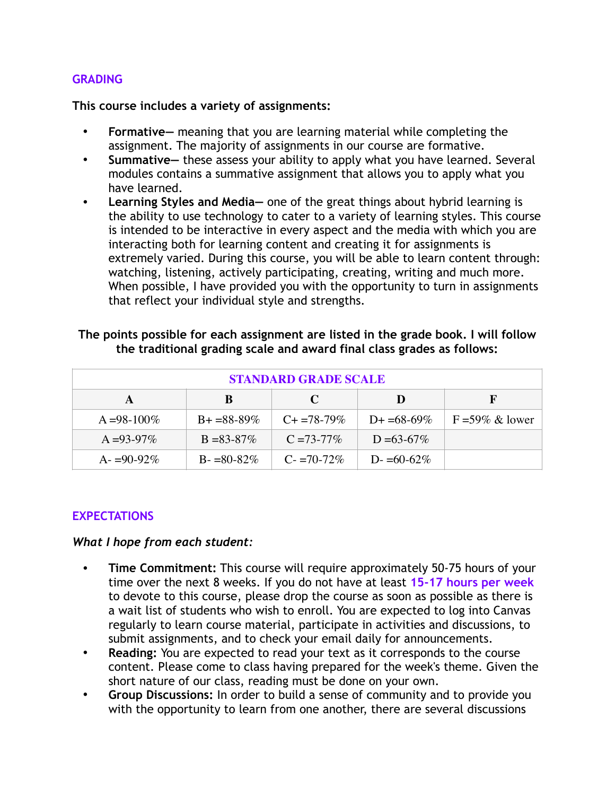#### **GRADING**

**This course includes a variety of assignments:**

- **• Formative—** meaning that you are learning material while completing the assignment. The majority of assignments in our course are formative.
- **• Summative—** these assess your ability to apply what you have learned. Several modules contains a summative assignment that allows you to apply what you have learned.
- **• Learning Styles and Media—** one of the great things about hybrid learning is the ability to use technology to cater to a variety of learning styles. This course is intended to be interactive in every aspect and the media with which you are interacting both for learning content and creating it for assignments is extremely varied. During this course, you will be able to learn content through: watching, listening, actively participating, creating, writing and much more. When possible, I have provided you with the opportunity to turn in assignments that reflect your individual style and strengths.

| <b>STANDARD GRADE SCALE</b> |                   |                 |                 |                    |
|-----------------------------|-------------------|-----------------|-----------------|--------------------|
|                             | B                 | C               | Ð               |                    |
| $A = 98-100\%$              | $B + = 88 - 89\%$ | $C_{+}=78-79\%$ | $D+ = 68-69\%$  | $F = 59\%$ & lower |
| $A = 93-97\%$               | $B = 83 - 87\%$   | $C = 73 - 77\%$ | $D = 63 - 67\%$ |                    |
| $A = 90-92\%$               | $B = 80-82\%$     | $C = 70-72\%$   | D- $=60-62\%$   |                    |

#### **The points possible for each assignment are listed in the grade book. I will follow the traditional grading scale and award final class grades as follows:**

## **EXPECTATIONS**

#### *What I hope from each student:*

- **• Time Commitment:** This course will require approximately 50-75 hours of your time over the next 8 weeks. If you do not have at least **15-17 hours per week** to devote to this course, please drop the course as soon as possible as there is a wait list of students who wish to enroll. You are expected to log into Canvas regularly to learn course material, participate in activities and discussions, to submit assignments, and to check your email daily for announcements.
- **• Reading:** You are expected to read your text as it corresponds to the course content. Please come to class having prepared for the week's theme. Given the short nature of our class, reading must be done on your own.
- **• Group Discussions:** In order to build a sense of community and to provide you with the opportunity to learn from one another, there are several discussions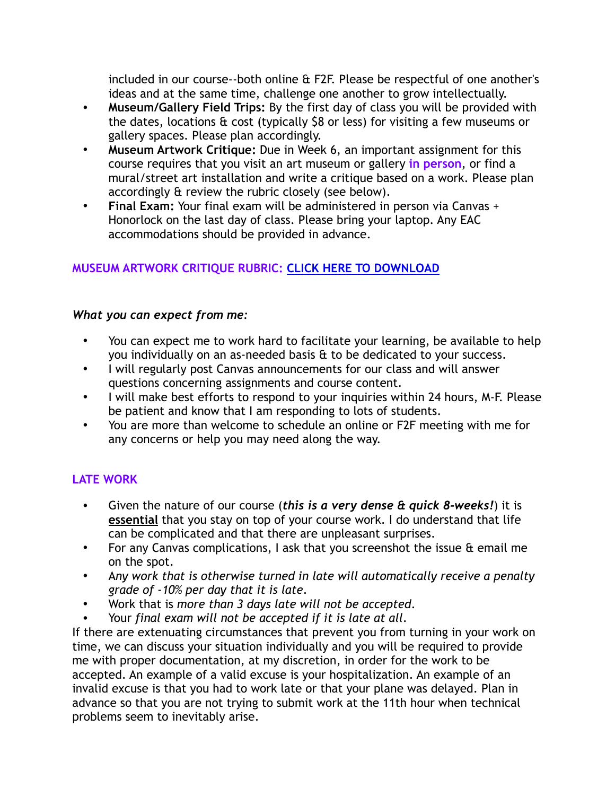included in our course--both online & F2F. Please be respectful of one another's ideas and at the same time, challenge one another to grow intellectually.

- **• Museum/Gallery Field Trips:** By the first day of class you will be provided with the dates, locations & cost (typically \$8 or less) for visiting a few museums or gallery spaces. Please plan accordingly.
- **• Museum Artwork Critique:** Due in Week 6, an important assignment for this course requires that you visit an art museum or gallery **in person**, or find a mural/street art installation and write a critique based on a work. Please plan accordingly & review the rubric closely (see below).
- **• Final Exam:** Your final exam will be administered in person via Canvas + Honorlock on the last day of class. Please bring your laptop. Any EAC accommodations should be provided in advance.

# **MUSEUM ARTWORK CRITIQUE RUBRIC: [CLICK HERE TO DOWNLOAD](https://drive.google.com/file/d/1zNppzq6g0DmeH0kfomhlf5FFkXsuvrD9/view?usp=sharing)**

## *What you can expect from me:*

- You can expect me to work hard to facilitate your learning, be available to help you individually on an as-needed basis & to be dedicated to your success.
- I will regularly post Canvas announcements for our class and will answer questions concerning assignments and course content.
- I will make best efforts to respond to your inquiries within 24 hours, M-F. Please be patient and know that I am responding to lots of students.
- You are more than welcome to schedule an online or F2F meeting with me for any concerns or help you may need along the way.

# **LATE WORK**

- Given the nature of our course (*this is a very dense & quick 8-weeks!*) it is **essential** that you stay on top of your course work. I do understand that life can be complicated and that there are unpleasant surprises.
- For any Canvas complications, I ask that you screenshot the issue & email me on the spot.
- A*ny work that is otherwise turned in late will automatically receive a penalty grade of -10% per day that it is late*.
- Work that is *more than 3 days late will not be accepted*.
- Your *final exam will not be accepted if it is late at all*.

If there are extenuating circumstances that prevent you from turning in your work on time, we can discuss your situation individually and you will be required to provide me with proper documentation, at my discretion, in order for the work to be accepted. An example of a valid excuse is your hospitalization. An example of an invalid excuse is that you had to work late or that your plane was delayed. Plan in advance so that you are not trying to submit work at the 11th hour when technical problems seem to inevitably arise.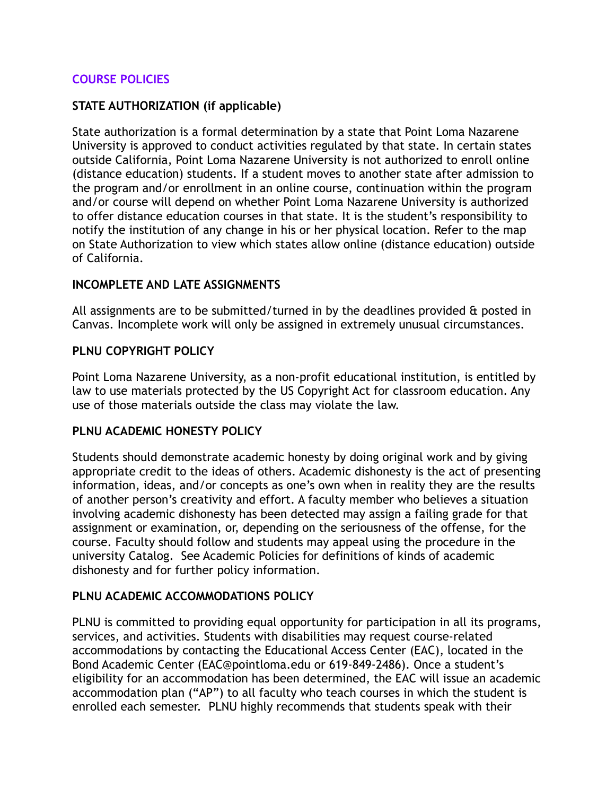### **COURSE POLICIES**

## **STATE AUTHORIZATION (if applicable)**

State authorization is a formal determination by a state that Point Loma Nazarene University is approved to conduct activities regulated by that state. In certain states outside California, Point Loma Nazarene University is not authorized to enroll online (distance education) students. If a student moves to another state after admission to the program and/or enrollment in an online course, continuation within the program and/or course will depend on whether Point Loma Nazarene University is authorized to offer distance education courses in that state. It is the student's responsibility to notify the institution of any change in his or her physical location. Refer to the map on State Authorization to view which states allow online (distance education) outside of California.

#### **INCOMPLETE AND LATE ASSIGNMENTS**

All assignments are to be submitted/turned in by the deadlines provided & posted in Canvas. Incomplete work will only be assigned in extremely unusual circumstances.

## **PLNU COPYRIGHT POLICY**

Point Loma Nazarene University, as a non-profit educational institution, is entitled by law to use materials protected by the US Copyright Act for classroom education. Any use of those materials outside the class may violate the law.

#### **PLNU ACADEMIC HONESTY POLICY**

Students should demonstrate academic honesty by doing original work and by giving appropriate credit to the ideas of others. Academic dishonesty is the act of presenting information, ideas, and/or concepts as one's own when in reality they are the results of another person's creativity and effort. A faculty member who believes a situation involving academic dishonesty has been detected may assign a failing grade for that assignment or examination, or, depending on the seriousness of the offense, for the course. Faculty should follow and students may appeal using the procedure in the university Catalog. See Academic Policies for definitions of kinds of academic dishonesty and for further policy information.

## **PLNU ACADEMIC ACCOMMODATIONS POLICY**

PLNU is committed to providing equal opportunity for participation in all its programs, services, and activities. Students with disabilities may request course-related accommodations by contacting the Educational Access Center (EAC), located in the Bond Academic Center (EAC@pointloma.edu or 619-849-2486). Once a student's eligibility for an accommodation has been determined, the EAC will issue an academic accommodation plan ("AP") to all faculty who teach courses in which the student is enrolled each semester. PLNU highly recommends that students speak with their